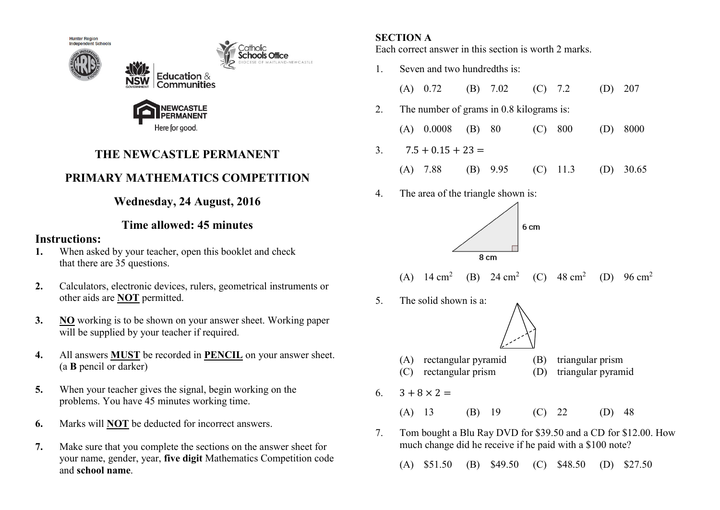

Here for good.

# **THE NEWCASTLE PERMANENT**

# **PRIMARY MATHEMATICS COMPETITION**

## **Wednesday, 24 August, 2016**

## **Time allowed: 45 minutes**

### **Instructions:**

- **1.** When asked by your teacher, open this booklet and check that there are 35 questions.
- **2.** Calculators, electronic devices, rulers, geometrical instruments or other aids are **NOT** permitted.
- **3. NO** working is to be shown on your answer sheet. Working paper will be supplied by your teacher if required.
- **4.** All answers **MUST** be recorded in **PENCIL** on your answer sheet. (a **B** pencil or darker)
- **5.** When your teacher gives the signal, begin working on the problems. You have 45 minutes working time.
- **6.** Marks will **NOT** be deducted for incorrect answers.
- **7.** Make sure that you complete the sections on the answer sheet for your name, gender, year, **five digit** Mathematics Competition code and **school name**.

## **SECTION A**

Each correct answer in this section is worth 2 marks.

- 1. Seven and two hundredths is: (A) 0.72 (B) 7.02 (C) 7.2 (D) 207 2. The number of grams in 0.8 kilograms is: (A) 0.0008 (B) 80 (C) 800 (D) 8000 3.  $7.5 + 0.15 + 23 =$  (A) 7.88 (B) 9.95 (C) 11.3 (D) 30.65 4. The area of the triangle shown is: 6<sub>cm</sub> 8 cm (A)  $14 \text{ cm}^2$ (B) 24  $\text{cm}^2$ (C)  $48 \text{ cm}^2$ (D) 96 cm<sup>2</sup> 5. The solid shown is a: (A) rectangular pyramid (B) triangular prism (C) rectangular prism (D) triangular pyramid 6.  $3 + 8 \times 2 =$  (A) 13 (B) 19 (C) 22 (D) 48 7. Tom bought a Blu Ray DVD for \$39.50 and a CD for \$12.00. How much change did he receive if he paid with a \$100 note?
	- (A) \$51.50 (B) \$49.50 (C) \$48.50 (D) \$27.50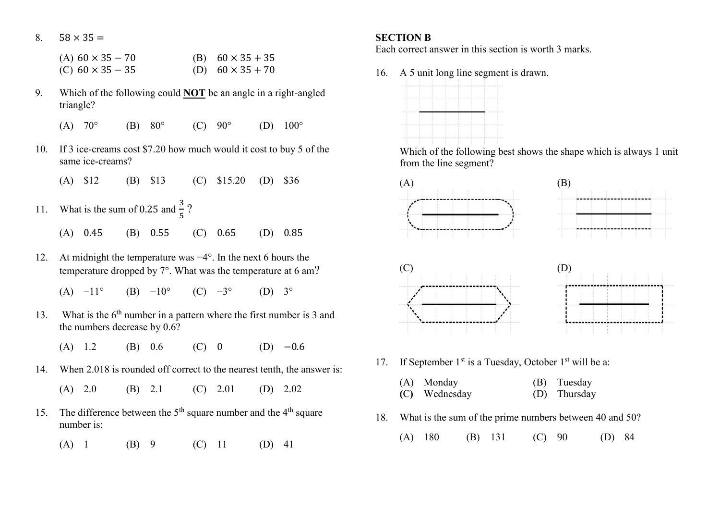8.  $58 \times 35 =$ 

| (A) $60 \times 35 - 70$ | (B) $60 \times 35 + 35$ |
|-------------------------|-------------------------|
| (C) $60 \times 35 - 35$ | (D) $60 \times 35 + 70$ |

- 9. Which of the following could **NOT** be an angle in a right-angled triangle?
	- (A)  $70^{\circ}$  (B)  $80^{\circ}$  (C)  $90^{\circ}$  (D)  $100^{\circ}$
- 10. If 3 ice-creams cost \$7.20 how much would it cost to buy 5 of the same ice-creams?
	- (A) \$12 (B) \$13 (C) \$15.20 (D) \$36
- 11. What is the sum of 0.25 and  $\frac{3}{5}$ ? (A) 0.45 (B) 0.55 (C) 0.65 (D) 0.85
- 12. At midnight the temperature was −4°. In the next 6 hours the
	- temperature dropped by  $7^\circ$ . What was the temperature at 6 am?
		- (A)  $-11^{\circ}$  (B)  $-10^{\circ}$  (C)  $-3^{\circ}$  (D) 3<sup>°</sup>
- 13. What is the  $6<sup>th</sup>$  number in a pattern where the first number is 3 and the numbers decrease by 0.6?
	- (A)  $1.2$  (B)  $0.6$  (C) 0 (D)  $-0.6$
- 14. When 2.018 is rounded off correct to the nearest tenth, the answer is:
	- (A) 2.0 (B) 2.1 (C) 2.01 (D) 2.02
- 15. The difference between the  $5<sup>th</sup>$  square number and the  $4<sup>th</sup>$  square number is:
	- (A) 1 (B) 9 (C) 11 (D) 41

### **SECTION B**

Each correct answer in this section is worth 3 marks.

16. A 5 unit long line segment is drawn.



 Which of the following best shows the shape which is always 1 unit from the line segment?



- 17. If September  $1^{st}$  is a Tuesday, October  $1^{st}$  will be a:
	- (A) Monday (B) Tuesday **(**C**)** Wednesday (D) Thursday
- 18. What is the sum of the prime numbers between 40 and 50?
	- (A) 180 (B) 131 (C) 90 (D) 84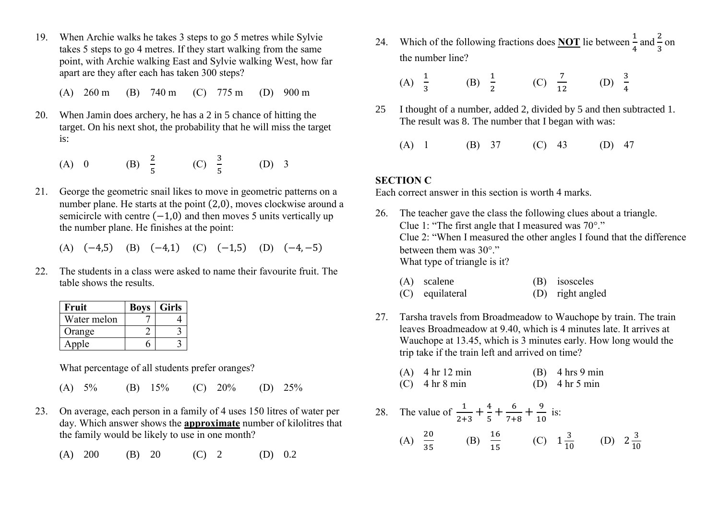- 19. When Archie walks he takes 3 steps to go 5 metres while Sylvie takes 5 steps to go 4 metres. If they start walking from the same point, with Archie walking East and Sylvie walking West, how far apart are they after each has taken 300 steps?
	- (A) 260 m (B) 740 m (C) 775 m (D) 900 m
- 20. When Jamin does archery, he has a 2 in 5 chance of hitting the target. On his next shot, the probability that he will miss the target is:
- (A) 0 (B)  $\frac{2}{5}$  (C)  $\frac{3}{5}$  (D) 3
- 21. George the geometric snail likes to move in geometric patterns on a number plane. He starts at the point (2,0), moves clockwise around a semicircle with centre  $(-1,0)$  and then moves 5 units vertically up the number plane. He finishes at the point:

(A) 
$$
(-4,5)
$$
 (B)  $(-4,1)$  (C)  $(-1,5)$  (D)  $(-4,-5)$ 

22. The students in a class were asked to name their favourite fruit. The table shows the results.

| Fruit       | <b>Boys</b> | <b>Girls</b> |
|-------------|-------------|--------------|
| Water melon |             |              |
| Orange      |             |              |
| Apple       |             |              |

What percentage of all students prefer oranges?

- (A) 5% (B) 15% (C) 20% (D) 25%
- 23. On average, each person in a family of 4 uses 150 litres of water per day. Which answer shows the **approximate** number of kilolitres that the family would be likely to use in one month?
	- (A)  $200$  (B)  $20$  (C)  $2$  (D)  $0.2$

24. Which of the following fractions does **NOT** lie between  $\frac{1}{4}$  and  $\frac{2}{3}$  on the number line?

(A) 
$$
\frac{1}{3}
$$
 (B)  $\frac{1}{2}$  (C)  $\frac{7}{12}$  (D)  $\frac{3}{4}$ 

- 25 I thought of a number, added 2, divided by 5 and then subtracted 1. The result was 8. The number that I began with was:
	- (A) 1 (B) 37 (C) 43 (D) 47

#### **SECTION C**

Each correct answer in this section is worth 4 marks.

- 26. The teacher gave the class the following clues about a triangle. Clue 1: "The first angle that I measured was 70°." Clue 2: "When I measured the other angles I found that the difference between them was  $30^{\circ}$ ." What type of triangle is it?
	- (A) scalene (B) isosceles
	- (C) equilateral (D) right angled
- 27. Tarsha travels from Broadmeadow to Wauchope by train. The train leaves Broadmeadow at 9.40, which is 4 minutes late. It arrives at Wauchope at 13.45, which is 3 minutes early. How long would the trip take if the train left and arrived on time?
	- (A) 4 hr 12 min (B) 4 hrs 9 min (C)  $4 \text{ hr } 8 \text{ min}$  (D)  $4 \text{ hr } 5 \text{ min}$
- 28. The value of  $\frac{1}{2+3} + \frac{4}{5}$  $\frac{4}{5} + \frac{6}{7+}$  $\frac{6}{7+8} + \frac{9}{10}$  $\frac{1}{10}$  is: (A)  $\frac{20}{35}$  (B)  $\frac{16}{15}$  (C)  $1\frac{3}{10}$  (D)  $2\frac{3}{10}$ 10